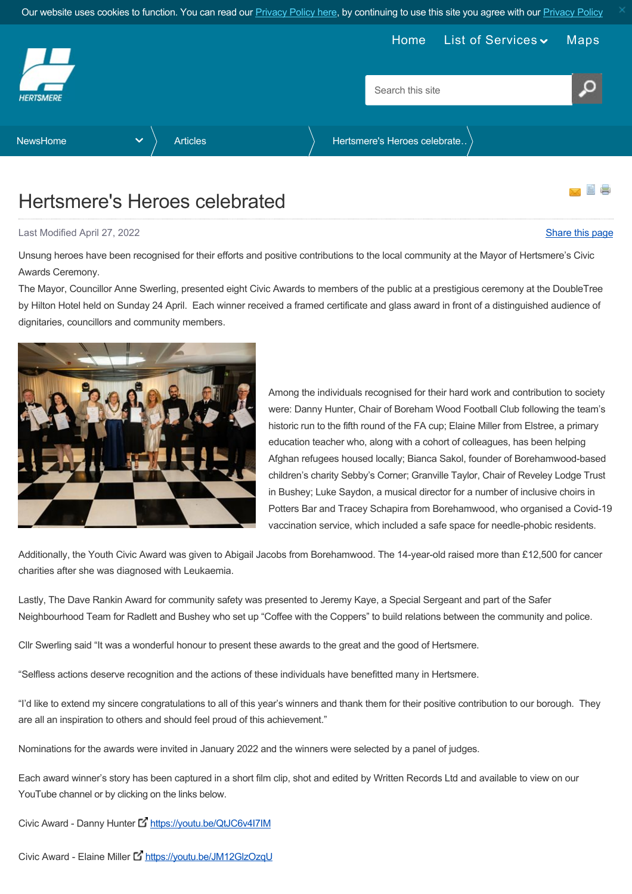

<span id="page-0-0"></span>

## Hertsmere's Heroes celebrated

Last Modified April 27, 2022 [Share this page](http://www.addthis.com/bookmark.php?v=250&pubid=xa-502e5fd570edcb1e) of the state of the state of the state of the state of the state of the state of the state of the state of the state of the state of the state of the state of the state of the s

Unsung heroes have been recognised for their efforts and positive contributions to the local community at the Mayor of Hertsmere's Civic Awards Ceremony.

The Mayor, Councillor Anne Swerling, presented eight Civic Awards to members of the public at a prestigious ceremony at the DoubleTree by Hilton Hotel held on Sunday 24 April. Each winner received a framed certificate and glass award in front of a distinguished audience of dignitaries, councillors and community members.

> Among the individuals recognised for their hard work and contribution to society were: Danny Hunter, Chair of Boreham Wood Football Club following the team's historic run to the fifth round of the FA cup; Elaine Miller from Elstree, a primary education teacher who, along with a cohort of colleagues, has been helping Afghan refugees housed locally; Bianca Sakol, founder of Borehamwood-based children's charity Sebby's Corner; Granville Taylor, Chair of Reveley Lodge Trust in Bushey; Luke Saydon, a musical director for a number of inclusive choirs in Potters Bar and Tracey Schapira from Borehamwood, who organised a Covid-19 vaccination service, which included a safe space for needle-phobic residents.

Additionally, the Youth Civic Award was given to Abigail Jacobs from Borehamwood. The 14-year-old raised more than £12,500 for cancer charities after she was diagnosed with Leukaemia.

Lastly, The Dave Rankin Award for community safety was presented to Jeremy Kaye, a Special Sergeant and part of the Safer Neighbourhood Team for Radlett and Bushey who set up "Coffee with the Coppers" to build relations between the community and police.

Cllr Swerling said "It was a wonderful honour to present these awards to the great and the good of Hertsmere.

"Selfless actions deserve recognition and the actions of these individuals have benefitted many in Hertsmere.

"I'd like to extend my sincere congratulations to all of this year's winners and thank them for their positive contribution to our borough. They are all an inspiration to others and should feel proud of this achievement."

Nominations for the awards were invited in January 2022 and the winners were selected by a panel of judges.

Each award winner's story has been captured in a short film clip, shot and edited by Written Records Ltd and available to view on our YouTube channel or by clicking on the links below.

Civic Award - Danny Hunter L <https://youtu.be/QtJC6v4I7IM>

Civic Award - Elaine Miller L <https://youtu.be/JM12GlzOzqU>